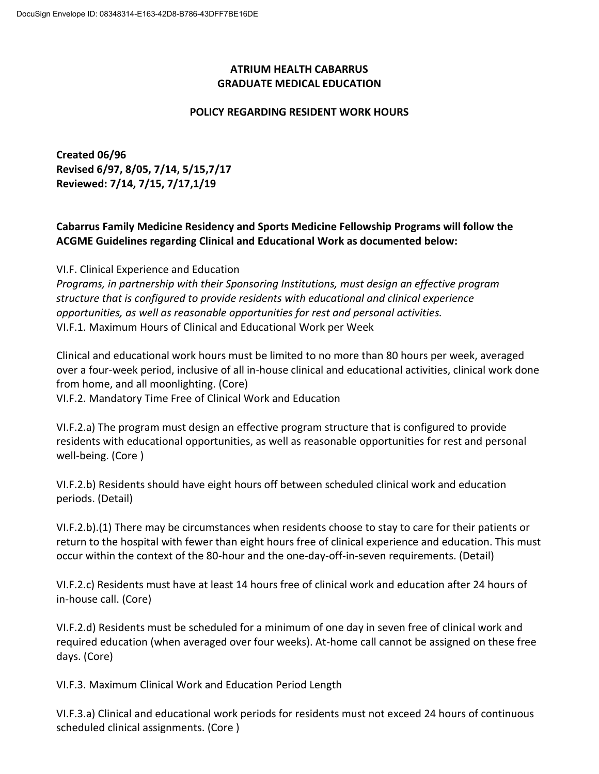## **ATRIUM HEALTH CABARRUS GRADUATE MEDICAL EDUCATION**

## **POLICY REGARDING RESIDENT WORK HOURS**

**Created 06/96 Revised 6/97, 8/05, 7/14, 5/15,7/17 Reviewed: 7/14, 7/15, 7/17,1/19**

## **Cabarrus Family Medicine Residency and Sports Medicine Fellowship Programs will follow the ACGME Guidelines regarding Clinical and Educational Work as documented below:**

VI.F. Clinical Experience and Education

*Programs, in partnership with their Sponsoring Institutions, must design an effective program structure that is configured to provide residents with educational and clinical experience opportunities, as well as reasonable opportunities for rest and personal activities.*  VI.F.1. Maximum Hours of Clinical and Educational Work per Week

Clinical and educational work hours must be limited to no more than 80 hours per week, averaged over a four-week period, inclusive of all in-house clinical and educational activities, clinical work done from home, and all moonlighting. (Core)

VI.F.2. Mandatory Time Free of Clinical Work and Education

VI.F.2.a) The program must design an effective program structure that is configured to provide residents with educational opportunities, as well as reasonable opportunities for rest and personal well-being. (Core )

VI.F.2.b) Residents should have eight hours off between scheduled clinical work and education periods. (Detail)

VI.F.2.b).(1) There may be circumstances when residents choose to stay to care for their patients or return to the hospital with fewer than eight hours free of clinical experience and education. This must occur within the context of the 80-hour and the one-day-off-in-seven requirements. (Detail)

VI.F.2.c) Residents must have at least 14 hours free of clinical work and education after 24 hours of in-house call. (Core)

VI.F.2.d) Residents must be scheduled for a minimum of one day in seven free of clinical work and required education (when averaged over four weeks). At-home call cannot be assigned on these free days. (Core)

VI.F.3. Maximum Clinical Work and Education Period Length

VI.F.3.a) Clinical and educational work periods for residents must not exceed 24 hours of continuous scheduled clinical assignments. (Core )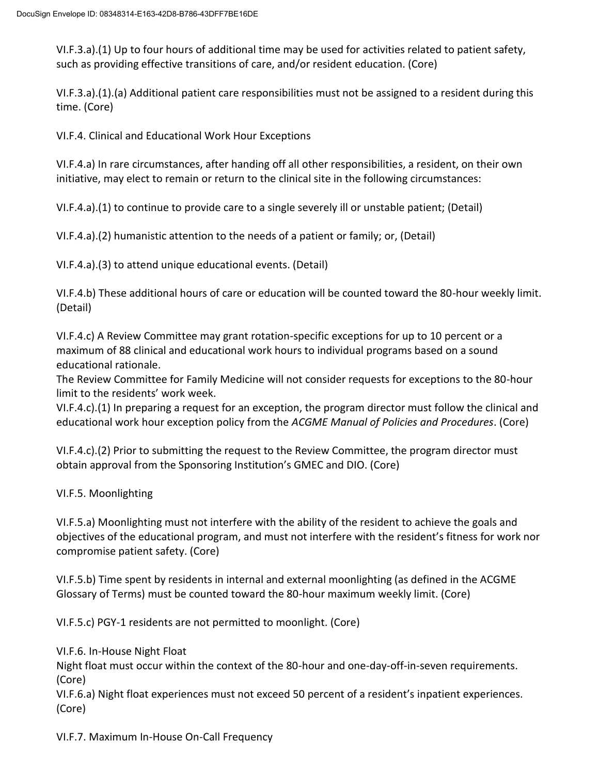VI.F.3.a).(1) Up to four hours of additional time may be used for activities related to patient safety, such as providing effective transitions of care, and/or resident education. (Core)

VI.F.3.a).(1).(a) Additional patient care responsibilities must not be assigned to a resident during this time. (Core)

VI.F.4. Clinical and Educational Work Hour Exceptions

VI.F.4.a) In rare circumstances, after handing off all other responsibilities, a resident, on their own initiative, may elect to remain or return to the clinical site in the following circumstances:

VI.F.4.a).(1) to continue to provide care to a single severely ill or unstable patient; (Detail)

VI.F.4.a).(2) humanistic attention to the needs of a patient or family; or, (Detail)

VI.F.4.a).(3) to attend unique educational events. (Detail)

VI.F.4.b) These additional hours of care or education will be counted toward the 80-hour weekly limit. (Detail)

VI.F.4.c) A Review Committee may grant rotation-specific exceptions for up to 10 percent or a maximum of 88 clinical and educational work hours to individual programs based on a sound educational rationale.

The Review Committee for Family Medicine will not consider requests for exceptions to the 80-hour limit to the residents' work week.

VI.F.4.c).(1) In preparing a request for an exception, the program director must follow the clinical and educational work hour exception policy from the *ACGME Manual of Policies and Procedures*. (Core)

VI.F.4.c).(2) Prior to submitting the request to the Review Committee, the program director must obtain approval from the Sponsoring Institution's GMEC and DIO. (Core)

VI.F.5. Moonlighting

VI.F.5.a) Moonlighting must not interfere with the ability of the resident to achieve the goals and objectives of the educational program, and must not interfere with the resident's fitness for work nor compromise patient safety. (Core)

VI.F.5.b) Time spent by residents in internal and external moonlighting (as defined in the ACGME Glossary of Terms) must be counted toward the 80-hour maximum weekly limit. (Core)

VI.F.5.c) PGY-1 residents are not permitted to moonlight. (Core)

VI.F.6. In-House Night Float

Night float must occur within the context of the 80-hour and one-day-off-in-seven requirements. (Core)

VI.F.6.a) Night float experiences must not exceed 50 percent of a resident's inpatient experiences. (Core)

VI.F.7. Maximum In-House On-Call Frequency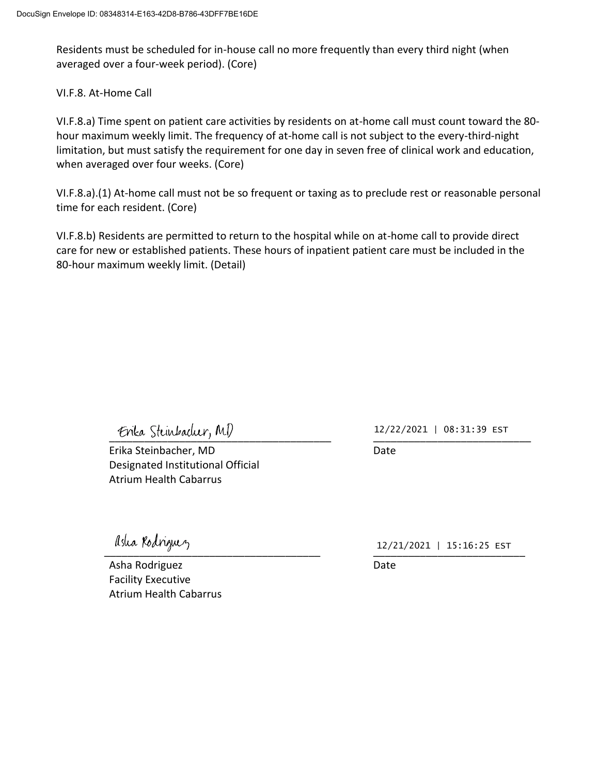Residents must be scheduled for in-house call no more frequently than every third night (when averaged over a four-week period). (Core)

VI.F.8. At-Home Call

VI.F.8.a) Time spent on patient care activities by residents on at-home call must count toward the 80 hour maximum weekly limit. The frequency of at-home call is not subject to the every-third-night limitation, but must satisfy the requirement for one day in seven free of clinical work and education, when averaged over four weeks. (Core)

VI.F.8.a).(1) At-home call must not be so frequent or taxing as to preclude rest or reasonable personal time for each resident. (Core)

VI.F.8.b) Residents are permitted to return to the hospital while on at-home call to provide direct care for new or established patients. These hours of inpatient patient care must be included in the 80-hour maximum weekly limit. (Detail)

Erika Steinbacher, MD

Erika Steinbacher, MD Date Designated Institutional Official Atrium Health Cabarrus

12/22/2021 | 08:31:39 EST

Asha Rodriguez **Date** Facility Executive Atrium Health Cabarrus

 $\mu$ sua parigu $\nu$